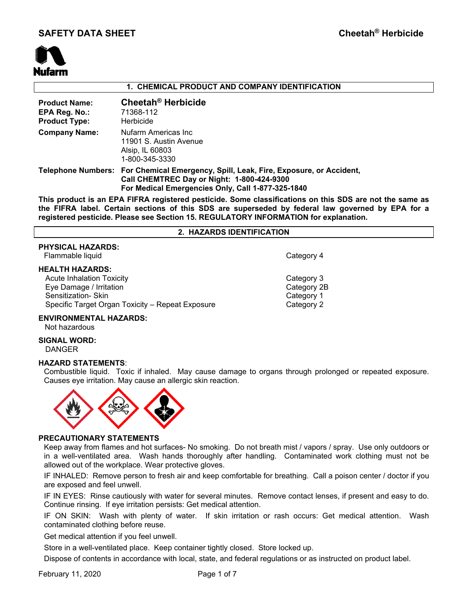

# **1. CHEMICAL PRODUCT AND COMPANY IDENTIFICATION**

| <b>Product Name:</b><br>EPA Reg. No.:<br><b>Product Type:</b> | Cheetah <sup>®</sup> Herbicide<br>71368-112<br>Herbicide                                                                                                                                |
|---------------------------------------------------------------|-----------------------------------------------------------------------------------------------------------------------------------------------------------------------------------------|
| <b>Company Name:</b>                                          | Nufarm Americas Inc<br>11901 S. Austin Avenue<br>Alsip, IL 60803<br>1-800-345-3330                                                                                                      |
|                                                               | Telephone Numbers: For Chemical Emergency, Spill, Leak, Fire, Exposure, or Accident,<br>Call CHEMTREC Day or Night: 1-800-424-9300<br>For Medical Emergencies Only, Call 1-877-325-1840 |

**This product is an EPA FIFRA registered pesticide. Some classifications on this SDS are not the same as the FIFRA label. Certain sections of this SDS are superseded by federal law governed by EPA for a registered pesticide. Please see Section 15. REGULATORY INFORMATION for explanation.**

#### **2. HAZARDS IDENTIFICATION**

# **PHYSICAL HAZARDS:**

Flammable liquid **Category 4** and Category 4

#### **HEALTH HAZARDS:**

Acute Inhalation Toxicity **Category 3** Eye Damage / Irritation Category 2B Sensitization- Skin Category 1 Specific Target Organ Toxicity – Repeat Exposure Category 2

# **ENVIRONMENTAL HAZARDS:**

Not hazardous

## **SIGNAL WORD:** DANGER

## **HAZARD STATEMENTS**:

Combustible liquid. Toxic if inhaled. May cause damage to organs through prolonged or repeated exposure. Causes eye irritation. May cause an allergic skin reaction.



## **PRECAUTIONARY STATEMENTS**

Keep away from flames and hot surfaces- No smoking. Do not breath mist / vapors / spray. Use only outdoors or in a well-ventilated area. Wash hands thoroughly after handling. Contaminated work clothing must not be allowed out of the workplace. Wear protective gloves.

IF INHALED: Remove person to fresh air and keep comfortable for breathing. Call a poison center / doctor if you are exposed and feel unwell.

IF IN EYES: Rinse cautiously with water for several minutes. Remove contact lenses, if present and easy to do. Continue rinsing. If eye irritation persists: Get medical attention.

IF ON SKIN: Wash with plenty of water. If skin irritation or rash occurs: Get medical attention. Wash contaminated clothing before reuse.

Get medical attention if you feel unwell.

Store in a well-ventilated place. Keep container tightly closed. Store locked up.

Dispose of contents in accordance with local, state, and federal regulations or as instructed on product label.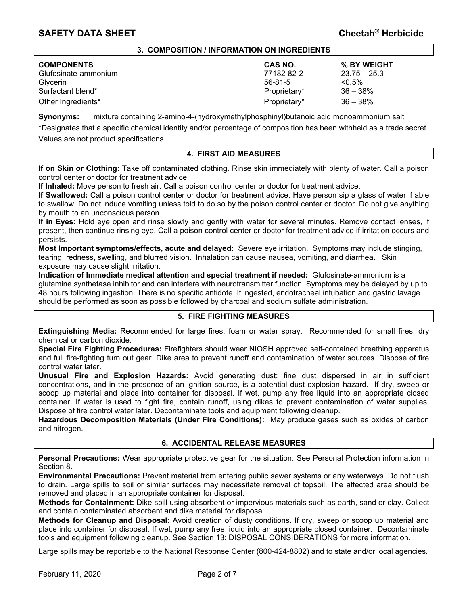## **3. COMPOSITION / INFORMATION ON INGREDIENTS**

| <b>COMPONENTS</b>    | <b>CAS NO.</b> | % BY WEIGHT    |
|----------------------|----------------|----------------|
| Glufosinate-ammonium | 77182-82-2     | $23.75 - 25.3$ |
| <b>Glvcerin</b>      | 56-81-5        | $< 0.5\%$      |
| Surfactant blend*    | Proprietary*   | $36 - 38\%$    |
| Other Ingredients*   | Proprietary*   | $36 - 38%$     |

**Synonyms:** mixture containing 2-amino-4-(hydroxymethylphosphinyl)butanoic acid monoammonium salt

\*Designates that a specific chemical identity and/or percentage of composition has been withheld as a trade secret. Values are not product specifications.

# **4. FIRST AID MEASURES**

**If on Skin or Clothing:** Take off contaminated clothing. Rinse skin immediately with plenty of water. Call a poison control center or doctor for treatment advice.

**If Inhaled:** Move person to fresh air. Call a poison control center or doctor for treatment advice.

**If Swallowed:** Call a poison control center or doctor for treatment advice. Have person sip a glass of water if able to swallow. Do not induce vomiting unless told to do so by the poison control center or doctor. Do not give anything by mouth to an unconscious person.

**If in Eyes:** Hold eye open and rinse slowly and gently with water for several minutes. Remove contact lenses, if present, then continue rinsing eye. Call a poison control center or doctor for treatment advice if irritation occurs and persists.

**Most Important symptoms/effects, acute and delayed:** Severe eye irritation. Symptoms may include stinging, tearing, redness, swelling, and blurred vision. Inhalation can cause nausea, vomiting, and diarrhea. Skin exposure may cause slight irritation.

**Indication of Immediate medical attention and special treatment if needed:** Glufosinate-ammonium is a glutamine synthetase inhibitor and can interfere with neurotransmitter function. Symptoms may be delayed by up to 48 hours following ingestion. There is no specific antidote. If ingested, endotracheal intubation and gastric lavage should be performed as soon as possible followed by charcoal and sodium sulfate administration.

# **5. FIRE FIGHTING MEASURES**

**Extinguishing Media:** Recommended for large fires: foam or water spray. Recommended for small fires: dry chemical or carbon dioxide.

**Special Fire Fighting Procedures:** Firefighters should wear NIOSH approved self-contained breathing apparatus and full fire-fighting turn out gear. Dike area to prevent runoff and contamination of water sources. Dispose of fire control water later.

**Unusual Fire and Explosion Hazards:** Avoid generating dust; fine dust dispersed in air in sufficient concentrations, and in the presence of an ignition source, is a potential dust explosion hazard. If dry, sweep or scoop up material and place into container for disposal. If wet, pump any free liquid into an appropriate closed container. If water is used to fight fire, contain runoff, using dikes to prevent contamination of water supplies. Dispose of fire control water later. Decontaminate tools and equipment following cleanup.

**Hazardous Decomposition Materials (Under Fire Conditions):** May produce gases such as oxides of carbon and nitrogen.

## **6. ACCIDENTAL RELEASE MEASURES**

**Personal Precautions:** Wear appropriate protective gear for the situation. See Personal Protection information in Section 8.

**Environmental Precautions:** Prevent material from entering public sewer systems or any waterways. Do not flush to drain. Large spills to soil or similar surfaces may necessitate removal of topsoil. The affected area should be removed and placed in an appropriate container for disposal.

**Methods for Containment:** Dike spill using absorbent or impervious materials such as earth, sand or clay. Collect and contain contaminated absorbent and dike material for disposal.

**Methods for Cleanup and Disposal:** Avoid creation of dusty conditions. If dry, sweep or scoop up material and place into container for disposal. If wet, pump any free liquid into an appropriate closed container. Decontaminate tools and equipment following cleanup. See Section 13: DISPOSAL CONSIDERATIONS for more information.

Large spills may be reportable to the National Response Center (800-424-8802) and to state and/or local agencies.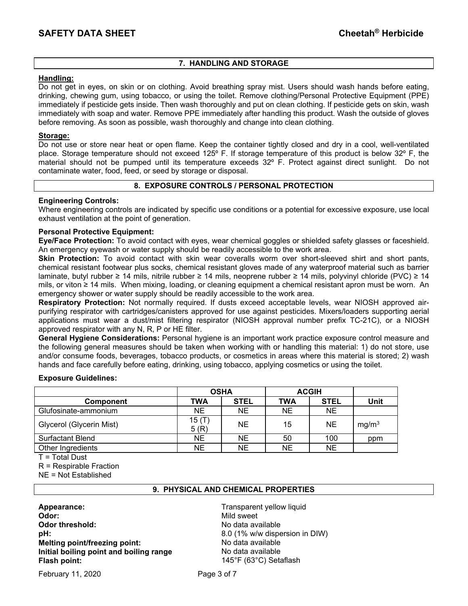# **7. HANDLING AND STORAGE**

# **Handling:**

Do not get in eyes, on skin or on clothing. Avoid breathing spray mist. Users should wash hands before eating, drinking, chewing gum, using tobacco, or using the toilet. Remove clothing/Personal Protective Equipment (PPE) immediately if pesticide gets inside. Then wash thoroughly and put on clean clothing. If pesticide gets on skin, wash immediately with soap and water. Remove PPE immediately after handling this product. Wash the outside of gloves before removing. As soon as possible, wash thoroughly and change into clean clothing.

# **Storage:**

Do not use or store near heat or open flame. Keep the container tightly closed and dry in a cool, well-ventilated place. Storage temperature should not exceed 125º F. If storage temperature of this product is below 32º F, the material should not be pumped until its temperature exceeds 32º F. Protect against direct sunlight. Do not contaminate water, food, feed, or seed by storage or disposal.

# **8. EXPOSURE CONTROLS / PERSONAL PROTECTION**

# **Engineering Controls:**

Where engineering controls are indicated by specific use conditions or a potential for excessive exposure, use local exhaust ventilation at the point of generation.

# **Personal Protective Equipment:**

**Eye/Face Protection:** To avoid contact with eyes, wear chemical goggles or shielded safety glasses or faceshield. An emergency eyewash or water supply should be readily accessible to the work area.

**Skin Protection:** To avoid contact with skin wear coveralls worm over short-sleeved shirt and short pants, chemical resistant footwear plus socks, chemical resistant gloves made of any waterproof material such as barrier laminate, butyl rubber ≥ 14 mils, nitrile rubber ≥ 14 mils, neoprene rubber ≥ 14 mils, polyvinyl chloride (PVC) ≥ 14 mils, or viton ≥ 14 mils. When mixing, loading, or cleaning equipment a chemical resistant apron must be worn. An emergency shower or water supply should be readily accessible to the work area.

**Respiratory Protection:** Not normally required. If dusts exceed acceptable levels, wear NIOSH approved airpurifying respirator with cartridges/canisters approved for use against pesticides. Mixers/loaders supporting aerial applications must wear a dust/mist filtering respirator (NIOSH approval number prefix TC-21C), or a NIOSH approved respirator with any N, R, P or HE filter.

**General Hygiene Considerations:** Personal hygiene is an important work practice exposure control measure and the following general measures should be taken when working with or handling this material: 1) do not store, use and/or consume foods, beverages, tobacco products, or cosmetics in areas where this material is stored; 2) wash hands and face carefully before eating, drinking, using tobacco, applying cosmetics or using the toilet.

## **Exposure Guidelines:**

|                          | <b>OSHA</b>   |             | <b>ACGIH</b> |             |                   |
|--------------------------|---------------|-------------|--------------|-------------|-------------------|
| <b>Component</b>         | TWA           | <b>STEL</b> | TWA          | <b>STEL</b> | Unit              |
| Glufosinate-ammonium     | NE.           | ΝE          | <b>NE</b>    | NE.         |                   |
| Glycerol (Glycerin Mist) | 15(T)<br>5(R) | <b>NE</b>   | 15           | <b>NE</b>   | mg/m <sup>3</sup> |
| <b>Surfactant Blend</b>  | NE            | NE          | 50           | 100         | ppm               |
| Other Ingredients        | NΕ            | NE          | NE           | <b>NE</b>   |                   |

T = Total Dust

R = Respirable Fraction

NE = Not Established

# **9. PHYSICAL AND CHEMICAL PROPERTIES**

**Appearance:** Transparent yellow liquid **Odor: Mild sweet Odor threshold: No data available No data available pH:** 8.0 (1% w/w dispersion in DIW) **Melting point/freezing point:** No data available **Initial boiling point and boiling range Modata available Flash point:** 145°F (63°C) Setaflash

February 11, 2020 **Page 3 of 7**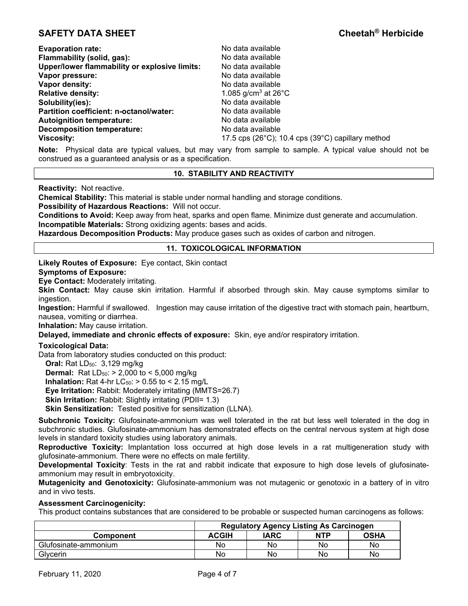| <b>Evaporation rate:</b>                      | No data available                                                       |
|-----------------------------------------------|-------------------------------------------------------------------------|
| Flammability (solid, gas):                    | No data available                                                       |
| Upper/lower flammability or explosive limits: | No data available                                                       |
| Vapor pressure:                               | No data available                                                       |
| Vapor density:                                | No data available                                                       |
| <b>Relative density:</b>                      | 1.085 g/cm <sup>3</sup> at $26^{\circ}$ C                               |
| Solubility(ies):                              | No data available                                                       |
| Partition coefficient: n-octanol/water:       | No data available                                                       |
| <b>Autoignition temperature:</b>              | No data available                                                       |
| <b>Decomposition temperature:</b>             | No data available                                                       |
| <b>Viscosity:</b>                             | 17.5 cps (26 $^{\circ}$ C); 10.4 cps (39 $^{\circ}$ C) capillary method |

**Note:** Physical data are typical values, but may vary from sample to sample. A typical value should not be construed as a guaranteed analysis or as a specification.

# **10. STABILITY AND REACTIVITY**

**Reactivity:** Not reactive.

**Chemical Stability:** This material is stable under normal handling and storage conditions.

**Possibility of Hazardous Reactions:** Will not occur.

**Conditions to Avoid:** Keep away from heat, sparks and open flame. Minimize dust generate and accumulation. **Incompatible Materials:** Strong oxidizing agents: bases and acids.

**Hazardous Decomposition Products:** May produce gases such as oxides of carbon and nitrogen.

# **11. TOXICOLOGICAL INFORMATION**

**Likely Routes of Exposure:** Eye contact, Skin contact

#### **Symptoms of Exposure:**

**Eye Contact:** Moderately irritating.

**Skin Contact:** May cause skin irritation. Harmful if absorbed through skin. May cause symptoms similar to ingestion.

**Ingestion:** Harmful if swallowed. Ingestion may cause irritation of the digestive tract with stomach pain, heartburn, nausea, vomiting or diarrhea.

**Inhalation:** May cause irritation.

**Delayed, immediate and chronic effects of exposure:** Skin, eye and/or respiratory irritation.

## **Toxicological Data:**

Data from laboratory studies conducted on this product:

**Oral:** Rat LD<sub>50</sub>: 3,129 mg/kg

**Dermal:** Rat  $LD_{50}$ :  $> 2,000$  to  $< 5,000$  mg/kg

**Inhalation:** Rat 4-hr  $LC_{50}$ :  $> 0.55$  to  $< 2.15$  mg/L

**Eye Irritation:** Rabbit: Moderately irritating (MMTS=26.7)

**Skin Irritation:** Rabbit: Slightly irritating (PDII= 1.3)

**Skin Sensitization:** Tested positive for sensitization (LLNA).

**Subchronic Toxicity:** Glufosinate-ammonium was well tolerated in the rat but less well tolerated in the dog in subchronic studies. Glufosinate-ammonium has demonstrated effects on the central nervous system at high dose levels in standard toxicity studies using laboratory animals.

**Reproductive Toxicity:** Implantation loss occurred at high dose levels in a rat multigeneration study with glufosinate-ammonium. There were no effects on male fertility.

**Developmental Toxicity**: Tests in the rat and rabbit indicate that exposure to high dose levels of glufosinateammonium may result in embryotoxicity.

**Mutagenicity and Genotoxicity:** Glufosinate-ammonium was not mutagenic or genotoxic in a battery of in vitro and in vivo tests.

# **Assessment Carcinogenicity:**

This product contains substances that are considered to be probable or suspected human carcinogens as follows:

|                      | <b>Regulatory Agency Listing As Carcinogen</b> |      |            |             |
|----------------------|------------------------------------------------|------|------------|-------------|
| <b>Component</b>     | <b>ACGIH</b>                                   | IARC | <b>NTP</b> | <b>OSHA</b> |
| Glufosinate-ammonium | No                                             | No   | No         | No          |
| Glycerin             | No                                             | No   | No         | No          |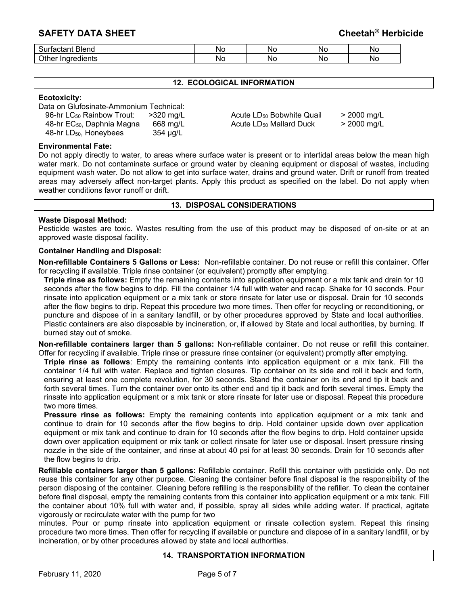| $\sim$ .<br>Blend<br>.<br>лач<br>ווכ                              | N0 | N0  | <b>NO</b> | Nc.        |
|-------------------------------------------------------------------|----|-----|-----------|------------|
| $\sim$ $\sim$<br>$\bigcap_{n=1}^{\infty}$<br>- indrediente<br>ure | NG | NC. | Nο        | <b>N</b> C |

# **12. ECOLOGICAL INFORMATION**

#### **Ecotoxicity:**

Data on Glufosinate-Ammonium Technical:

| 96-hr LC <sub>50</sub> Rainbow Trout:  | $>320$ mg/L |
|----------------------------------------|-------------|
| 48-hr EC <sub>50</sub> , Daphnia Magna | 668 mg/L    |
| 48-hr $LD_{50}$ , Honeybees            | 354 µg/L    |

Acute LD<sub>50</sub> Bobwhite Quail > 2000 mg/L Acute  $LD_{50}$  Mallard Duck  $\geq 2000$  mg/L

#### **Environmental Fate:**

Do not apply directly to water, to areas where surface water is present or to intertidal areas below the mean high water mark. Do not contaminate surface or ground water by cleaning equipment or disposal of wastes, including equipment wash water. Do not allow to get into surface water, drains and ground water. Drift or runoff from treated areas may adversely affect non-target plants. Apply this product as specified on the label. Do not apply when weather conditions favor runoff or drift.

#### **13. DISPOSAL CONSIDERATIONS**

## **Waste Disposal Method:**

Pesticide wastes are toxic. Wastes resulting from the use of this product may be disposed of on-site or at an approved waste disposal facility.

## **Container Handling and Disposal:**

**Non-refillable Containers 5 Gallons or Less:** Non-refillable container. Do not reuse or refill this container. Offer for recycling if available. Triple rinse container (or equivalent) promptly after emptying.

**Triple rinse as follows:** Empty the remaining contents into application equipment or a mix tank and drain for 10 seconds after the flow begins to drip. Fill the container 1/4 full with water and recap. Shake for 10 seconds. Pour rinsate into application equipment or a mix tank or store rinsate for later use or disposal. Drain for 10 seconds after the flow begins to drip. Repeat this procedure two more times. Then offer for recycling or reconditioning, or puncture and dispose of in a sanitary landfill, or by other procedures approved by State and local authorities. Plastic containers are also disposable by incineration, or, if allowed by State and local authorities, by burning. If burned stay out of smoke.

**Non-refillable containers larger than 5 gallons:** Non-refillable container. Do not reuse or refill this container. Offer for recycling if available. Triple rinse or pressure rinse container (or equivalent) promptly after emptying.

**Triple rinse as follows**: Empty the remaining contents into application equipment or a mix tank. Fill the container 1/4 full with water. Replace and tighten closures. Tip container on its side and roll it back and forth, ensuring at least one complete revolution, for 30 seconds. Stand the container on its end and tip it back and forth several times. Turn the container over onto its other end and tip it back and forth several times. Empty the rinsate into application equipment or a mix tank or store rinsate for later use or disposal. Repeat this procedure two more times.

**Pressure rinse as follows:** Empty the remaining contents into application equipment or a mix tank and continue to drain for 10 seconds after the flow begins to drip. Hold container upside down over application equipment or mix tank and continue to drain for 10 seconds after the flow begins to drip. Hold container upside down over application equipment or mix tank or collect rinsate for later use or disposal. Insert pressure rinsing nozzle in the side of the container, and rinse at about 40 psi for at least 30 seconds. Drain for 10 seconds after the flow begins to drip.

**Refillable containers larger than 5 gallons:** Refillable container. Refill this container with pesticide only. Do not reuse this container for any other purpose. Cleaning the container before final disposal is the responsibility of the person disposing of the container. Cleaning before refilling is the responsibility of the refiller. To clean the container before final disposal, empty the remaining contents from this container into application equipment or a mix tank. Fill the container about 10% full with water and, if possible, spray all sides while adding water. If practical, agitate vigorously or recirculate water with the pump for two

minutes. Pour or pump rinsate into application equipment or rinsate collection system. Repeat this rinsing procedure two more times. Then offer for recycling if available or puncture and dispose of in a sanitary landfill, or by incineration, or by other procedures allowed by state and local authorities.

## **14. TRANSPORTATION INFORMATION**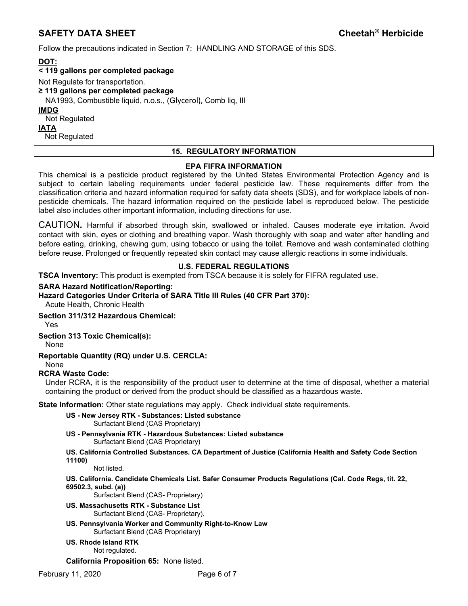Follow the precautions indicated in Section 7: HANDLING AND STORAGE of this SDS.

**DOT: < 119 gallons per completed package**  Not Regulate for transportation. **≥ 119 gallons per completed package**  NA1993, Combustible liquid, n.o.s., (Glycerol), Comb liq, III **IMDG**  Not Regulated **IATA**  Not Regulated

# **15. REGULATORY INFORMATION**

# **EPA FIFRA INFORMATION**

This chemical is a pesticide product registered by the United States Environmental Protection Agency and is subject to certain labeling requirements under federal pesticide law. These requirements differ from the classification criteria and hazard information required for safety data sheets (SDS), and for workplace labels of nonpesticide chemicals. The hazard information required on the pesticide label is reproduced below. The pesticide label also includes other important information, including directions for use.

CAUTION**.** Harmful if absorbed through skin, swallowed or inhaled. Causes moderate eye irritation. Avoid contact with skin, eyes or clothing and breathing vapor. Wash thoroughly with soap and water after handling and before eating, drinking, chewing gum, using tobacco or using the toilet. Remove and wash contaminated clothing before reuse. Prolonged or frequently repeated skin contact may cause allergic reactions in some individuals.

# **U.S. FEDERAL REGULATIONS**

**TSCA Inventory:** This product is exempted from TSCA because it is solely for FIFRA regulated use.

# **SARA Hazard Notification/Reporting:**

# **Hazard Categories Under Criteria of SARA Title III Rules (40 CFR Part 370):**

Acute Health, Chronic Health

## **Section 311/312 Hazardous Chemical:**

Yes

# **Section 313 Toxic Chemical(s):**

None

# **Reportable Quantity (RQ) under U.S. CERCLA:**

# None

# **RCRA Waste Code:**

Under RCRA, it is the responsibility of the product user to determine at the time of disposal, whether a material containing the product or derived from the product should be classified as a hazardous waste.

**State Information:** Other state regulations may apply. Check individual state requirements.

- **US New Jersey RTK Substances: Listed substance**  Surfactant Blend (CAS Proprietary)
- **US Pennsylvania RTK Hazardous Substances: Listed substance** Surfactant Blend (CAS Proprietary)
- **US. California Controlled Substances. CA Department of Justice (California Health and Safety Code Section 11100)**

Not listed.

**US. California. Candidate Chemicals List. Safer Consumer Products Regulations (Cal. Code Regs, tit. 22, 69502.3, subd. (a))** 

Surfactant Blend (CAS- Proprietary)

- **US. Massachusetts RTK Substance List**  Surfactant Blend (CAS- Proprietary).
- **US. Pennsylvania Worker and Community Right-to-Know Law**  Surfactant Blend (CAS Proprietary)
- **US. Rhode Island RTK**

Not regulated.

**California Proposition 65:** None listed.